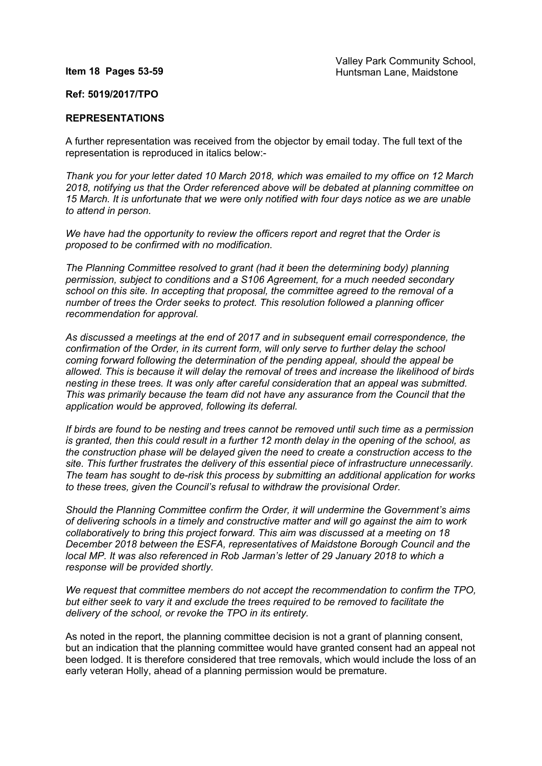## **Item 18 Pages 53-59**

## **Ref: 5019/2017/TPO**

## **REPRESENTATIONS**

A further representation was received from the objector by email today. The full text of the representation is reproduced in italics below:-

*Thank you for your letter dated 10 March 2018, which was emailed to my office on 12 March 2018, notifying us that the Order referenced above will be debated at planning committee on 15 March. It is unfortunate that we were only notified with four days notice as we are unable to attend in person.*

*We have had the opportunity to review the officers report and regret that the Order is proposed to be confirmed with no modification.*

*The Planning Committee resolved to grant (had it been the determining body) planning permission, subject to conditions and a S106 Agreement, for a much needed secondary school on this site. In accepting that proposal, the committee agreed to the removal of a number of trees the Order seeks to protect. This resolution followed a planning officer recommendation for approval.*

*As discussed a meetings at the end of 2017 and in subsequent email correspondence, the confirmation of the Order, in its current form, will only serve to further delay the school coming forward following the determination of the pending appeal, should the appeal be allowed. This is because it will delay the removal of trees and increase the likelihood of birds nesting in these trees. It was only after careful consideration that an appeal was submitted. This was primarily because the team did not have any assurance from the Council that the application would be approved, following its deferral.*

*If birds are found to be nesting and trees cannot be removed until such time as a permission* is granted, then this could result in a further 12 month delay in the opening of the school, as *the construction phase will be delayed given the need to create a construction access to the site. This further frustrates the delivery of this essential piece of infrastructure unnecessarily. The team has sought to de-risk this process by submitting an additional application for works to these trees, given the Council's refusal to withdraw the provisional Order.*

*Should the Planning Committee confirm the Order, it will undermine the Government's aims of delivering schools in a timely and constructive matter and will go against the aim to work collaboratively to bring this project forward. This aim was discussed at a meeting on 18 December 2018 between the ESFA, representatives of Maidstone Borough Council and the local MP. It was also referenced in Rob Jarman's letter of 29 January 2018 to which a response will be provided shortly.*

*We request that committee members do not accept the recommendation to confirm the TPO, but either seek to vary it and exclude the trees required to be removed to facilitate the delivery of the school, or revoke the TPO in its entirety.*

As noted in the report, the planning committee decision is not a grant of planning consent, but an indication that the planning committee would have granted consent had an appeal not been lodged. It is therefore considered that tree removals, which would include the loss of an early veteran Holly, ahead of a planning permission would be premature.